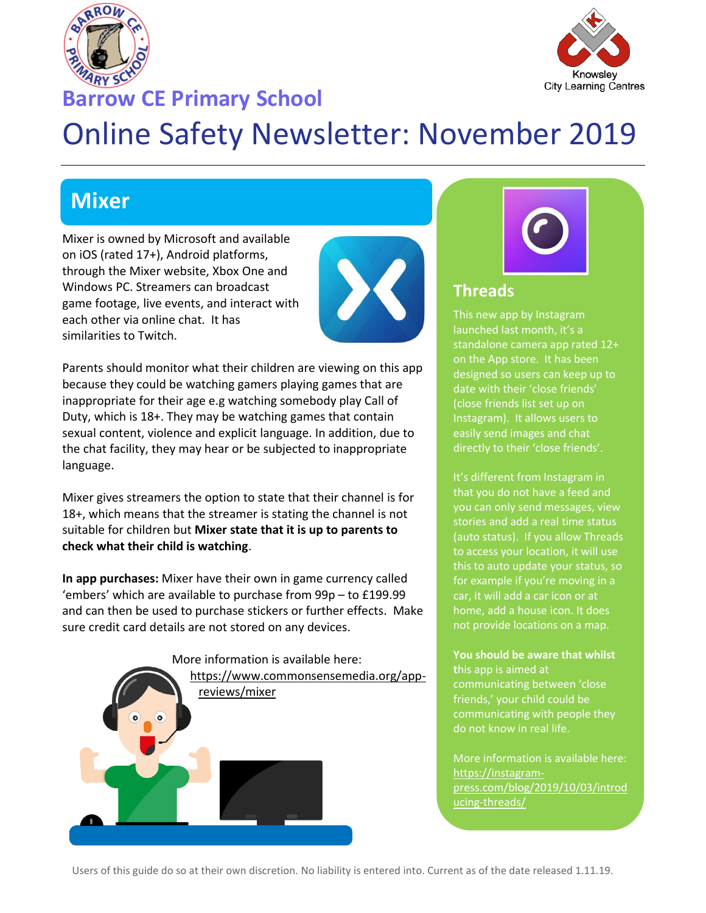



## **Barrow CE Primary School**

# Online Safety Newsletter: November 2019

# **Mixer**

Mixer is owned by Microsoft and available on iOS (rated 17+), Android platforms, through the Mixer website, Xbox One and Windows PC. Streamers can broadcast game footage, live events, and interact with each other via online chat. It has similarities to Twitch.



Parents should monitor what their children are viewing on this app because they could be watching gamers playing games that are inappropriate for their age e.g watching somebody play Call of Duty, which is 18+. They may be watching games that contain sexual content, violence and explicit language. In addition, due to the chat facility, they may hear or be subjected to inappropriate language.

Mixer gives streamers the option to state that their channel is for 18+, which means that the streamer is stating the channel is not suitable for children but **Mixer state that it is up to parents to check what their child is watching**.

**In app purchases:** Mixer have their own in game currency called 'embers' which are available to purchase from 99p – to £199.99 and can then be used to purchase stickers or further effects. Make sure credit card details are not stored on any devices.



#### **Threads**

This new app by Instagram launched last month, it's a standalone camera app rated 12+ on the App store. It has been designed so users can keep up to date with their 'close friends' (close friends list set up on Instagram). It allows users to easily send images and chat directly to their 'close friends'.

It's different from Instagram in that you do not have a feed and you can only send messages, view stories and add a real time status (auto status). If you allow Threads to access your location, it will use this to auto update your status, so for example if you're moving in a car, it will add a car icon or at home, add a house icon. It does not provide locations on a map.

#### **You should be aware that whilst**

**t**his app is aimed at communicating between 'close friends,' your child could be communicating with people they do not know in real life.

More information is available here: [https://instagram](https://instagram-press.com/blog/2019/10/03/introducing-threads/)[press.com/blog/2019/10/03/introd](https://instagram-press.com/blog/2019/10/03/introducing-threads/) [ucing-threads/](https://instagram-press.com/blog/2019/10/03/introducing-threads/)